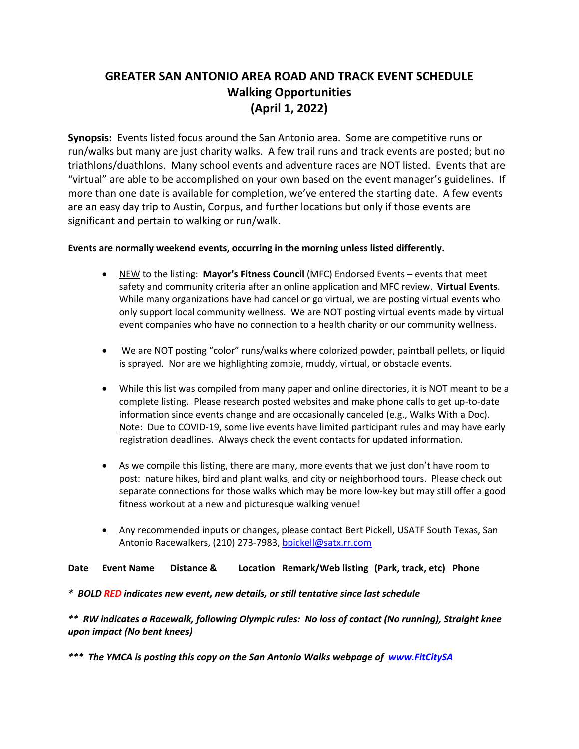## **GREATER SAN ANTONIO AREA ROAD AND TRACK EVENT SCHEDULE Walking Opportunities (April 1, 2022)**

**Synopsis:** Events listed focus around the San Antonio area. Some are competitive runs or run/walks but many are just charity walks. A few trail runs and track events are posted; but no triathlons/duathlons. Many school events and adventure races are NOT listed. Events that are "virtual" are able to be accomplished on your own based on the event manager's guidelines. If more than one date is available for completion, we've entered the starting date. A few events are an easy day trip to Austin, Corpus, and further locations but only if those events are significant and pertain to walking or run/walk.

#### **Events are normally weekend events, occurring in the morning unless listed differently.**

- NEW to the listing: **Mayor's Fitness Council** (MFC) Endorsed Events events that meet safety and community criteria after an online application and MFC review. **Virtual Events**. While many organizations have had cancel or go virtual, we are posting virtual events who only support local community wellness. We are NOT posting virtual events made by virtual event companies who have no connection to a health charity or our community wellness.
- We are NOT posting "color" runs/walks where colorized powder, paintball pellets, or liquid is sprayed. Nor are we highlighting zombie, muddy, virtual, or obstacle events.
- While this list was compiled from many paper and online directories, it is NOT meant to be a complete listing. Please research posted websites and make phone calls to get up-to-date information since events change and are occasionally canceled (e.g., Walks With a Doc). Note: Due to COVID-19, some live events have limited participant rules and may have early registration deadlines. Always check the event contacts for updated information.
- As we compile this listing, there are many, more events that we just don't have room to post: nature hikes, bird and plant walks, and city or neighborhood tours. Please check out separate connections for those walks which may be more low-key but may still offer a good fitness workout at a new and picturesque walking venue!
- Any recommended inputs or changes, please contact Bert Pickell, USATF South Texas, San Antonio Racewalkers, (210) 273-7983, bpickell@satx.rr.com

**Date Event Name Distance & Location Remark/Web listing (Park, track, etc) Phone**

*\* BOLD RED indicates new event, new details, or still tentative since last schedule*

*\*\* RW indicates a Racewalk, following Olympic rules: No loss of contact (No running), Straight knee upon impact (No bent knees)*

*\*\*\* The YMCA is posting this copy on the San Antonio Walks webpage of www.FitCitySA*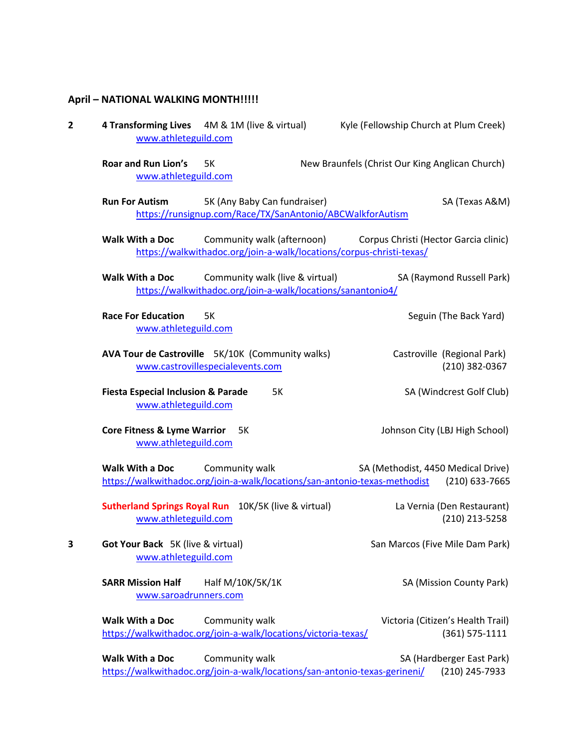### **April – NATIONAL WALKING MONTH!!!!!**

| 2 | 4 Transforming Lives 4M & 1M (live & virtual)<br>www.athleteguild.com                                                        | Kyle (Fellowship Church at Plum Creek)                  |
|---|------------------------------------------------------------------------------------------------------------------------------|---------------------------------------------------------|
|   | <b>Roar and Run Lion's</b><br>5K<br>www.athleteguild.com                                                                     | New Braunfels (Christ Our King Anglican Church)         |
|   | <b>Run For Autism</b><br>5K (Any Baby Can fundraiser)<br>https://runsignup.com/Race/TX/SanAntonio/ABCWalkforAutism           | SA (Texas A&M)                                          |
|   | <b>Walk With a Doc</b><br>Community walk (afternoon)<br>https://walkwithadoc.org/join-a-walk/locations/corpus-christi-texas/ | Corpus Christi (Hector Garcia clinic)                   |
|   | Walk With a Doc<br>Community walk (live & virtual)<br>https://walkwithadoc.org/join-a-walk/locations/sanantonio4/            | SA (Raymond Russell Park)                               |
|   | <b>Race For Education</b><br>5K<br>www.athleteguild.com                                                                      | Seguin (The Back Yard)                                  |
|   | AVA Tour de Castroville 5K/10K (Community walks)<br>www.castrovillespecialevents.com                                         | Castroville (Regional Park)<br>(210) 382-0367           |
|   | <b>Fiesta Especial Inclusion &amp; Parade</b><br>5K<br>www.athleteguild.com                                                  | SA (Windcrest Golf Club)                                |
|   | <b>Core Fitness &amp; Lyme Warrior</b><br>5K<br>www.athleteguild.com                                                         | Johnson City (LBJ High School)                          |
|   | Walk With a Doc<br>Community walk<br>https://walkwithadoc.org/join-a-walk/locations/san-antonio-texas-methodist              | SA (Methodist, 4450 Medical Drive)<br>(210) 633-7665    |
|   | <b>Sutherland Springs Royal Run</b> 10K/5K (live & virtual)<br>www.athleteguild.com                                          | La Vernia (Den Restaurant)<br>(210) 213-5258            |
| 3 | Got Your Back 5K (live & virtual)<br>www.athleteguild.com                                                                    | San Marcos (Five Mile Dam Park)                         |
|   | <b>SARR Mission Half</b><br>Half M/10K/5K/1K<br>www.saroadrunners.com                                                        | SA (Mission County Park)                                |
|   | <b>Walk With a Doc</b><br>Community walk<br>https://walkwithadoc.org/join-a-walk/locations/victoria-texas/                   | Victoria (Citizen's Health Trail)<br>$(361) 575 - 1111$ |
|   | <b>Walk With a Doc</b><br>Community walk<br>https://walkwithadoc.org/join-a-walk/locations/san-antonio-texas-gerineni/       | SA (Hardberger East Park)<br>(210) 245-7933             |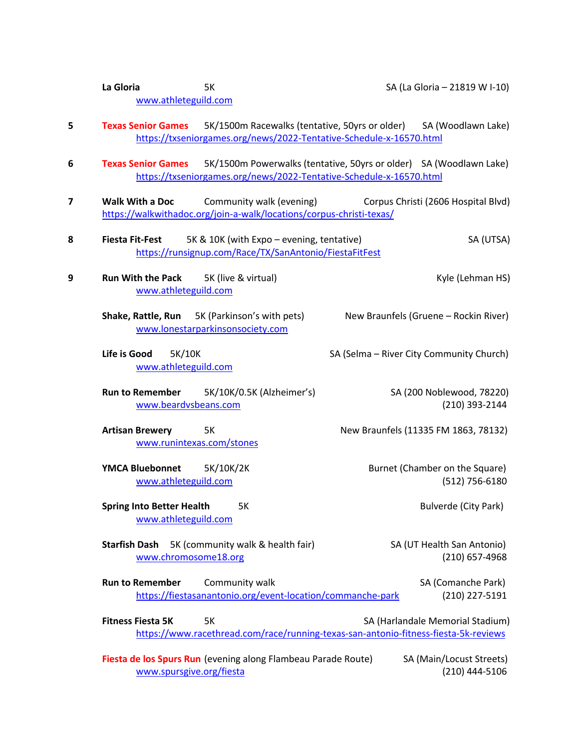|   | La Gloria<br>5K<br>SA (La Gloria - 21819 W I-10)<br>www.athleteguild.com                                                                                                 |
|---|--------------------------------------------------------------------------------------------------------------------------------------------------------------------------|
| 5 | 5K/1500m Racewalks (tentative, 50yrs or older)<br>SA (Woodlawn Lake)<br><b>Texas Senior Games</b><br>https://txseniorgames.org/news/2022-Tentative-Schedule-x-16570.html |
| 6 | <b>Texas Senior Games</b><br>5K/1500m Powerwalks (tentative, 50yrs or older) SA (Woodlawn Lake)<br>https://txseniorgames.org/news/2022-Tentative-Schedule-x-16570.html   |
| 7 | <b>Walk With a Doc</b><br>Community walk (evening)<br>Corpus Christi (2606 Hospital Blvd)<br>https://walkwithadoc.org/join-a-walk/locations/corpus-christi-texas/        |
| 8 | 5K & 10K (with Expo - evening, tentative)<br><b>Fiesta Fit-Fest</b><br>SA (UTSA)<br>https://runsignup.com/Race/TX/SanAntonio/FiestaFitFest                               |
| 9 | <b>Run With the Pack</b><br>5K (live & virtual)<br>Kyle (Lehman HS)<br>www.athleteguild.com                                                                              |
|   | 5K (Parkinson's with pets)<br>Shake, Rattle, Run<br>New Braunfels (Gruene - Rockin River)<br>www.lonestarparkinsonsociety.com                                            |
|   | Life is Good<br>5K/10K<br>SA (Selma - River City Community Church)<br>www.athleteguild.com                                                                               |
|   | 5K/10K/0.5K (Alzheimer's)<br>SA (200 Noblewood, 78220)<br><b>Run to Remember</b><br>(210) 393-2144<br>www.beardvsbeans.com                                               |
|   | <b>Artisan Brewery</b><br>5K<br>New Braunfels (11335 FM 1863, 78132)<br>www.runintexas.com/stones                                                                        |
|   | <b>YMCA Bluebonnet</b><br>5K/10K/2K<br>Burnet (Chamber on the Square)<br>www.athleteguild.com<br>(512) 756-6180                                                          |
|   | <b>Bulverde (City Park)</b><br><b>Spring Into Better Health</b><br>5K<br>www.athleteguild.com                                                                            |
|   | <b>Starfish Dash</b><br>5K (community walk & health fair)<br>SA (UT Health San Antonio)<br>(210) 657-4968<br>www.chromosome18.org                                        |
|   | <b>Run to Remember</b><br>Community walk<br>SA (Comanche Park)<br>https://fiestasanantonio.org/event-location/commanche-park<br>(210) 227-5191                           |
|   | <b>Fitness Fiesta 5K</b><br><b>5K</b><br>SA (Harlandale Memorial Stadium)<br>https://www.racethread.com/race/running-texas-san-antonio-fitness-fiesta-5k-reviews         |
|   | SA (Main/Locust Streets)<br>Fiesta de los Spurs Run (evening along Flambeau Parade Route)<br>www.spursgive.org/fiesta<br>(210) 444-5106                                  |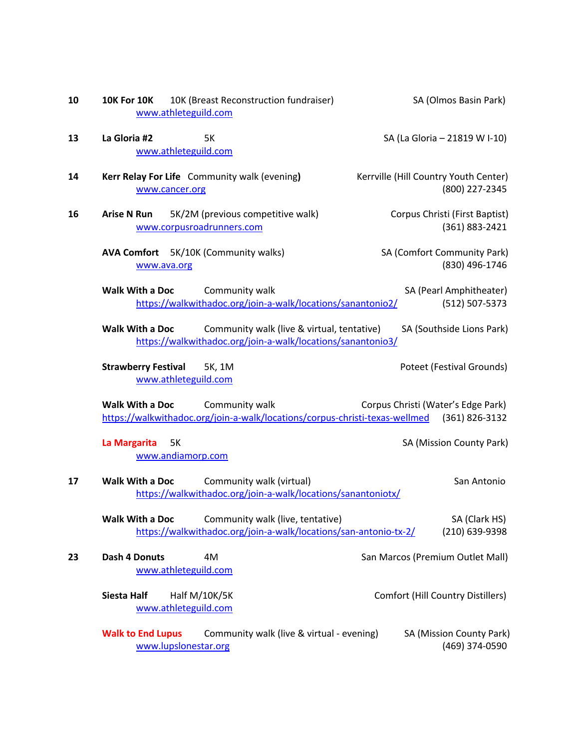| 10 | 10K (Breast Reconstruction fundraiser)<br><b>10K For 10K</b><br>www.athleteguild.com                                                                             | SA (Olmos Basin Park)                                   |  |  |
|----|------------------------------------------------------------------------------------------------------------------------------------------------------------------|---------------------------------------------------------|--|--|
| 13 | La Gloria #2<br>5K<br>www.athleteguild.com                                                                                                                       | SA (La Gloria - 21819 W I-10)                           |  |  |
| 14 | Kerr Relay For Life Community walk (evening)<br>www.cancer.org                                                                                                   | Kerrville (Hill Country Youth Center)<br>(800) 227-2345 |  |  |
| 16 | 5K/2M (previous competitive walk)<br><b>Arise N Run</b><br>www.corpusroadrunners.com                                                                             | Corpus Christi (First Baptist)<br>(361) 883-2421        |  |  |
|    | AVA Comfort 5K/10K (Community walks)<br>www.ava.org                                                                                                              | SA (Comfort Community Park)<br>(830) 496-1746           |  |  |
|    | Walk With a Doc<br>Community walk<br>https://walkwithadoc.org/join-a-walk/locations/sanantonio2/                                                                 | SA (Pearl Amphitheater)<br>(512) 507-5373               |  |  |
|    | <b>Walk With a Doc</b><br>Community walk (live & virtual, tentative)<br>SA (Southside Lions Park)<br>https://walkwithadoc.org/join-a-walk/locations/sanantonio3/ |                                                         |  |  |
|    | <b>Strawberry Festival</b><br>5K, 1M<br>www.athleteguild.com                                                                                                     | Poteet (Festival Grounds)                               |  |  |
|    | Community walk<br>Walk With a Doc<br>https://walkwithadoc.org/join-a-walk/locations/corpus-christi-texas-wellmed (361) 826-3132                                  | Corpus Christi (Water's Edge Park)                      |  |  |
|    | La Margarita<br>5K<br>www.andiamorp.com                                                                                                                          | SA (Mission County Park)                                |  |  |
| 17 | Walk With a Doc<br>Community walk (virtual)<br>https://walkwithadoc.org/join-a-walk/locations/sanantoniotx/                                                      | San Antonio                                             |  |  |
|    | Community walk (live, tentative)<br>Walk With a Doc<br>https://walkwithadoc.org/join-a-walk/locations/san-antonio-tx-2/                                          | SA (Clark HS)<br>(210) 639-9398                         |  |  |
| 23 | <b>Dash 4 Donuts</b><br>4M<br>www.athleteguild.com                                                                                                               | San Marcos (Premium Outlet Mall)                        |  |  |
|    | <b>Siesta Half</b><br><b>Half M/10K/5K</b><br>www.athleteguild.com                                                                                               | <b>Comfort (Hill Country Distillers)</b>                |  |  |
|    | <b>Walk to End Lupus</b><br>Community walk (live & virtual - evening)<br>www.lupslonestar.org                                                                    | SA (Mission County Park)<br>(469) 374-0590              |  |  |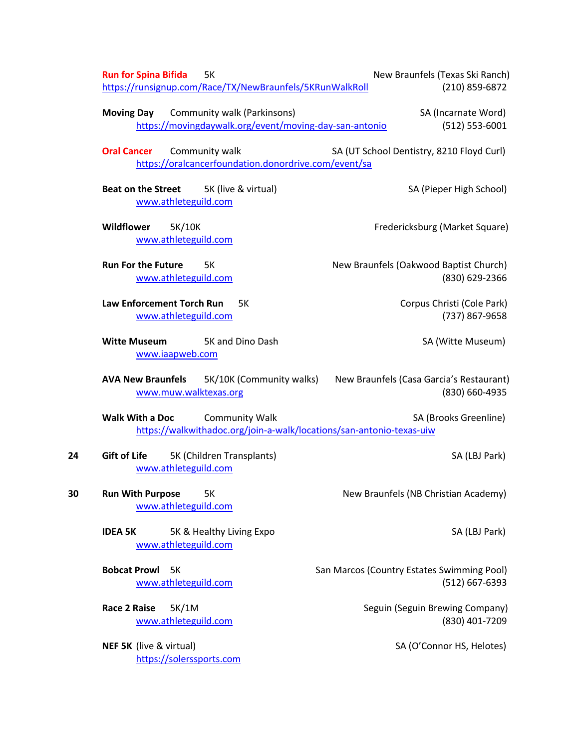|    | <b>Run for Spina Bifida</b><br>5K<br>https://runsignup.com/Race/TX/NewBraunfels/5KRunWalkRoll                    | New Braunfels (Texas Ski Ranch)<br>(210) 859-6872              |
|----|------------------------------------------------------------------------------------------------------------------|----------------------------------------------------------------|
|    | Community walk (Parkinsons)<br><b>Moving Day</b><br>https://movingdaywalk.org/event/moving-day-san-antonio       | SA (Incarnate Word)<br>$(512) 553 - 6001$                      |
|    | <b>Oral Cancer</b><br>Community walk<br>https://oralcancerfoundation.donordrive.com/event/sa                     | SA (UT School Dentistry, 8210 Floyd Curl)                      |
|    | 5K (live & virtual)<br><b>Beat on the Street</b><br>www.athleteguild.com                                         | SA (Pieper High School)                                        |
|    | Wildflower<br>5K/10K<br>www.athleteguild.com                                                                     | Fredericksburg (Market Square)                                 |
|    | <b>Run For the Future</b><br>5K<br>www.athleteguild.com                                                          | New Braunfels (Oakwood Baptist Church)<br>(830) 629-2366       |
|    | Law Enforcement Torch Run<br>5K<br>www.athleteguild.com                                                          | Corpus Christi (Cole Park)<br>(737) 867-9658                   |
|    | <b>Witte Museum</b><br>5K and Dino Dash<br>www.iaapweb.com                                                       | SA (Witte Museum)                                              |
|    | 5K/10K (Community walks)<br><b>AVA New Braunfels</b><br>www.muw.walktexas.org                                    | New Braunfels (Casa Garcia's Restaurant)<br>(830) 660-4935     |
|    | Walk With a Doc<br><b>Community Walk</b><br>https://walkwithadoc.org/join-a-walk/locations/san-antonio-texas-uiw | SA (Brooks Greenline)                                          |
| 24 | <b>Gift of Life</b><br>5K (Children Transplants)<br>www.athleteguild.com                                         | SA (LBJ Park)                                                  |
| 30 | <b>Run With Purpose</b><br>5K<br>www.athleteguild.com                                                            | New Braunfels (NB Christian Academy)                           |
|    | <b>IDEA 5K</b><br>5K & Healthy Living Expo<br>www.athleteguild.com                                               | SA (LBJ Park)                                                  |
|    | <b>Bobcat Prowl</b><br>5K<br>www.athleteguild.com                                                                | San Marcos (Country Estates Swimming Pool)<br>$(512)$ 667-6393 |
|    | <b>Race 2 Raise</b><br>5K/1M<br>www.athleteguild.com                                                             | Seguin (Seguin Brewing Company)<br>(830) 401-7209              |
|    | NEF 5K (live & virtual)<br>https://solerssports.com                                                              | SA (O'Connor HS, Helotes)                                      |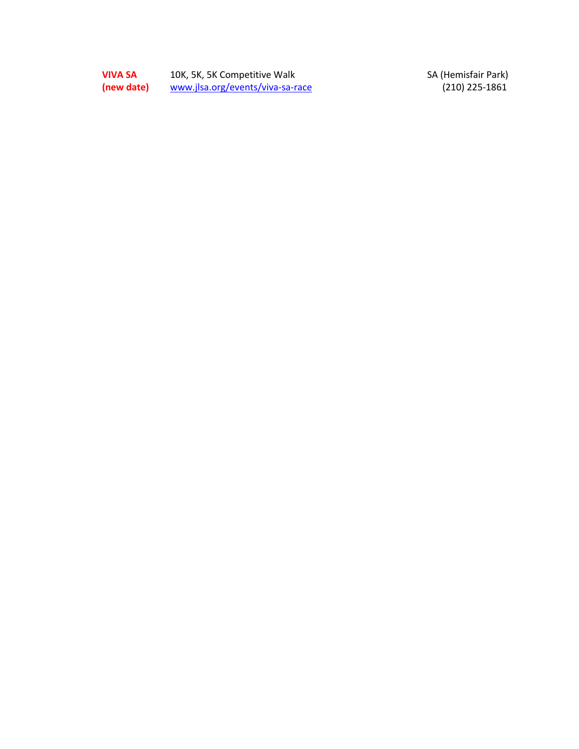**VIVA SA** 10K, 5K, 5K Competitive Walk SA (Hemisfair Park) **(new date)** www.jlsa.org/events/viva -sa

-race (210) 225 -1861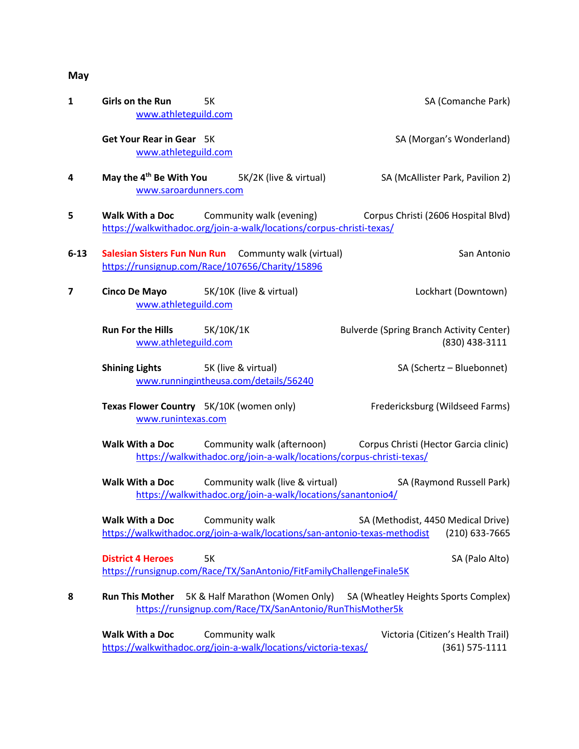## **May**

| $\mathbf{1}$ | Girls on the Run<br>5K<br>www.athleteguild.com                                                                          |                                                                      | SA (Comanche Park)                                                |
|--------------|-------------------------------------------------------------------------------------------------------------------------|----------------------------------------------------------------------|-------------------------------------------------------------------|
|              | Get Your Rear in Gear 5K<br>www.athleteguild.com                                                                        |                                                                      | SA (Morgan's Wonderland)                                          |
| 4            | May the 4 <sup>th</sup> Be With You 5K/2K (live & virtual)<br>www.saroardunners.com                                     |                                                                      | SA (McAllister Park, Pavilion 2)                                  |
| 5            | <b>Walk With a Doc</b> Community walk (evening)<br>https://walkwithadoc.org/join-a-walk/locations/corpus-christi-texas/ |                                                                      | Corpus Christi (2606 Hospital Blvd)                               |
| $6 - 13$     | Salesian Sisters Fun Nun Run Communty walk (virtual)<br>https://runsignup.com/Race/107656/Charity/15896                 |                                                                      | San Antonio                                                       |
| 7            | Cinco De Mayo 5K/10K (live & virtual)<br>www.athleteguild.com                                                           |                                                                      | Lockhart (Downtown)                                               |
|              | Run For the Hills 5K/10K/1K<br>www.athleteguild.com                                                                     |                                                                      | <b>Bulverde (Spring Branch Activity Center)</b><br>(830) 438-3111 |
|              | <b>Shining Lights</b> 5K (live & virtual)<br>www.runningintheusa.com/details/56240                                      |                                                                      | SA (Schertz - Bluebonnet)                                         |
|              | Texas Flower Country 5K/10K (women only)<br>www.runintexas.com                                                          |                                                                      | Fredericksburg (Wildseed Farms)                                   |
|              | Walk With a Doc Community walk (afternoon) Corpus Christi (Hector Garcia clinic)                                        | https://walkwithadoc.org/join-a-walk/locations/corpus-christi-texas/ |                                                                   |
|              | <b>Walk With a Doc</b><br>https://walkwithadoc.org/join-a-walk/locations/sanantonio4/                                   | Community walk (live & virtual) SA (Raymond Russell Park)            |                                                                   |
|              | <b>Walk With a Doc</b> Community walk<br>https://walkwithadoc.org/join-a-walk/locations/san-antonio-texas-methodist     |                                                                      | SA (Methodist, 4450 Medical Drive)<br>(210) 633-7665              |
|              | <b>District 4 Heroes</b><br><b>5K</b><br>https://runsignup.com/Race/TX/SanAntonio/FitFamilyChallengeFinale5K            |                                                                      | SA (Palo Alto)                                                    |
| 8            | <b>Run This Mother</b><br>5K & Half Marathon (Women Only)<br>https://runsignup.com/Race/TX/SanAntonio/RunThisMother5k   |                                                                      | SA (Wheatley Heights Sports Complex)                              |
|              | Walk With a Doc<br>Community walk<br>https://walkwithadoc.org/join-a-walk/locations/victoria-texas/                     |                                                                      | Victoria (Citizen's Health Trail)<br>$(361) 575 - 1111$           |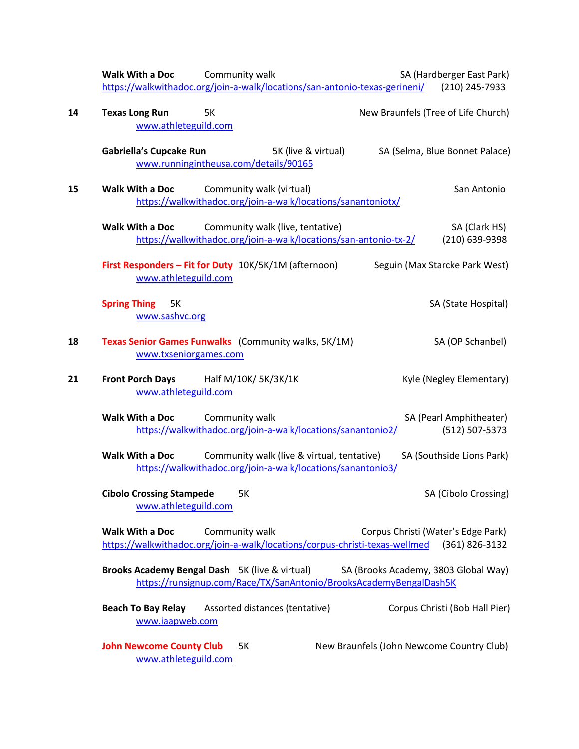|    | Walk With a Doc<br>Community walk<br>SA (Hardberger East Park)<br>https://walkwithadoc.org/join-a-walk/locations/san-antonio-texas-gerineni/<br>(210) 245-7933           |
|----|--------------------------------------------------------------------------------------------------------------------------------------------------------------------------|
| 14 | <b>Texas Long Run</b><br><b>5K</b><br>New Braunfels (Tree of Life Church)<br>www.athleteguild.com                                                                        |
|    | <b>Gabriella's Cupcake Run</b><br>SA (Selma, Blue Bonnet Palace)<br>5K (live & virtual)<br>www.runningintheusa.com/details/90165                                         |
| 15 | Walk With a Doc<br>Community walk (virtual)<br>San Antonio<br>https://walkwithadoc.org/join-a-walk/locations/sanantoniotx/                                               |
|    | <b>Walk With a Doc</b><br>Community walk (live, tentative)<br>SA (Clark HS)<br>https://walkwithadoc.org/join-a-walk/locations/san-antonio-tx-2/<br>(210) 639-9398        |
|    | First Responders - Fit for Duty 10K/5K/1M (afternoon)<br>Seguin (Max Starcke Park West)<br>www.athleteguild.com                                                          |
|    | <b>Spring Thing</b><br>SA (State Hospital)<br>5K<br>www.sashvc.org                                                                                                       |
| 18 | Texas Senior Games Funwalks (Community walks, 5K/1M)<br>SA (OP Schanbel)<br>www.txseniorgames.com                                                                        |
| 21 | <b>Front Porch Days</b><br>Half M/10K/ 5K/3K/1K<br>Kyle (Negley Elementary)<br>www.athleteguild.com                                                                      |
|    | Walk With a Doc<br>Community walk<br>SA (Pearl Amphitheater)<br>https://walkwithadoc.org/join-a-walk/locations/sanantonio2/<br>(512) 507-5373                            |
|    | Walk With a Doc<br>Community walk (live & virtual, tentative)<br>SA (Southside Lions Park)<br>https://walkwithadoc.org/join-a-walk/locations/sanantonio3/                |
|    | <b>Cibolo Crossing Stampede</b><br>5K<br>SA (Cibolo Crossing)<br>www.athleteguild.com                                                                                    |
|    | Walk With a Doc<br>Community walk<br>Corpus Christi (Water's Edge Park)<br>https://walkwithadoc.org/join-a-walk/locations/corpus-christi-texas-wellmed<br>(361) 826-3132 |
|    | Brooks Academy Bengal Dash 5K (live & virtual)<br>SA (Brooks Academy, 3803 Global Way)<br>https://runsignup.com/Race/TX/SanAntonio/BrooksAcademyBengalDash5K             |
|    | Assorted distances (tentative)<br>Corpus Christi (Bob Hall Pier)<br><b>Beach To Bay Relay</b><br>www.iaapweb.com                                                         |
|    | <b>John Newcome County Club</b><br>New Braunfels (John Newcome Country Club)<br>5K<br>www.athleteguild.com                                                               |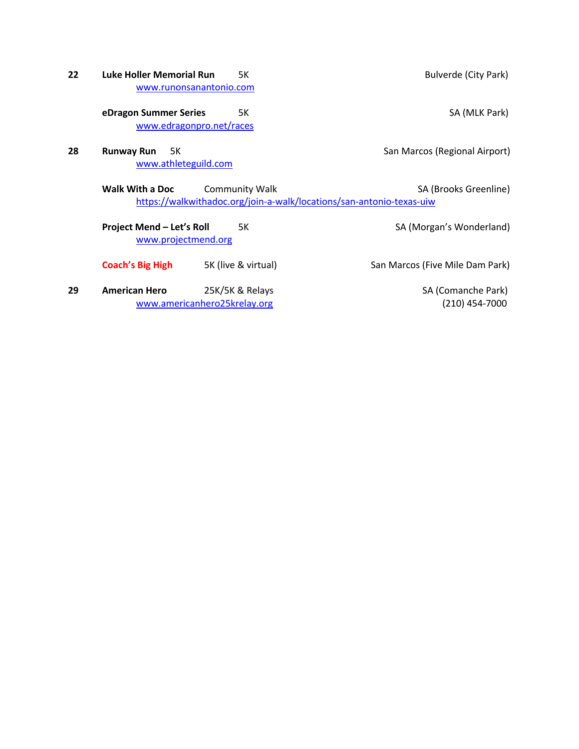- **22 Luke Holler Memorial Run** 5K Bulverde (City Park) www.runonsanantonio.com **eDragon Summer Series** 5K SA (MLK Park) www.edragonpro.net/races
- **28 Runway Run** 5K **San Marcos (Regional Airport)** San Marcos (Regional Airport) www.athleteguild.com

**Walk With a Doc** Community Walk Community Walk SA (Brooks Greenline) https://walkwithadoc.org/join-a-walk/locations/san-antonio-texas-uiw

**Project Mend – Let's Roll** 5K SA (Morgan's Wonderland) www.projectmend.org

**Coach's Big High** 5K (live & virtual) San Marcos (Five Mile Dam Park)

**29 • American Hero** 25K/5K & Relays **SA (Comanche Park)** SA (Comanche Park) www.americanhero25krelay.org (210) 454-7000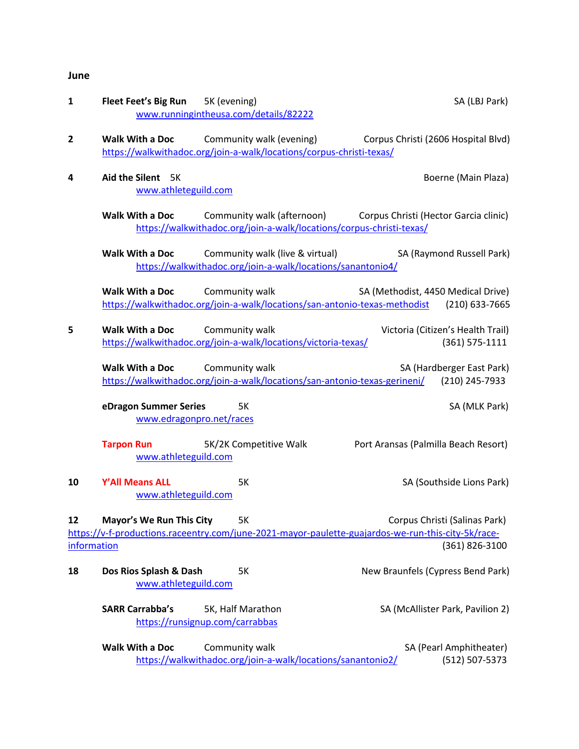### **June**

| $\mathbf{1}$      | Fleet Feet's Big Run 5K (evening)                 | www.runningintheusa.com/details/82222                                                            | SA (LBJ Park)                                                                                                                                         |
|-------------------|---------------------------------------------------|--------------------------------------------------------------------------------------------------|-------------------------------------------------------------------------------------------------------------------------------------------------------|
| 2                 | <b>Walk With a Doc</b>                            | Community walk (evening)<br>https://walkwithadoc.org/join-a-walk/locations/corpus-christi-texas/ | Corpus Christi (2606 Hospital Blvd)                                                                                                                   |
| 4                 | Aid the Silent 5K<br>www.athleteguild.com         |                                                                                                  | Boerne (Main Plaza)                                                                                                                                   |
|                   | Walk With a Doc                                   | https://walkwithadoc.org/join-a-walk/locations/corpus-christi-texas/                             | Community walk (afternoon) Corpus Christi (Hector Garcia clinic)                                                                                      |
|                   | Walk With a Doc                                   | Community walk (live & virtual)<br>https://walkwithadoc.org/join-a-walk/locations/sanantonio4/   | SA (Raymond Russell Park)                                                                                                                             |
|                   | Walk With a Doc                                   | Community walk                                                                                   | SA (Methodist, 4450 Medical Drive)<br>https://walkwithadoc.org/join-a-walk/locations/san-antonio-texas-methodist (210) 633-7665                       |
| 5                 | <b>Walk With a Doc</b>                            | Community walk<br>https://walkwithadoc.org/join-a-walk/locations/victoria-texas/                 | Victoria (Citizen's Health Trail)<br>$(361) 575 - 1111$                                                                                               |
|                   | <b>Walk With a Doc</b>                            | Community walk<br>https://walkwithadoc.org/join-a-walk/locations/san-antonio-texas-gerineni/     | SA (Hardberger East Park)<br>(210) 245-7933                                                                                                           |
|                   | eDragon Summer Series<br>www.edragonpro.net/races | 5K                                                                                               | SA (MLK Park)                                                                                                                                         |
|                   | <b>Tarpon Run</b><br>www.athleteguild.com         | 5K/2K Competitive Walk                                                                           | Port Aransas (Palmilla Beach Resort)                                                                                                                  |
| 10                | Y'All Means ALL<br>www.athleteguild.com           | <b>5K</b>                                                                                        | SA (Southside Lions Park)                                                                                                                             |
| 12<br>information | <b>Mayor's We Run This City</b>                   | 5K                                                                                               | Corpus Christi (Salinas Park)<br>https://v-f-productions.raceentry.com/june-2021-mayor-paulette-guajardos-we-run-this-city-5k/race-<br>(361) 826-3100 |
| 18                | Dos Rios Splash & Dash<br>www.athleteguild.com    | 5K                                                                                               | New Braunfels (Cypress Bend Park)                                                                                                                     |
|                   | <b>SARR Carrabba's</b>                            | 5K, Half Marathon<br>https://runsignup.com/carrabbas                                             | SA (McAllister Park, Pavilion 2)                                                                                                                      |
|                   | <b>Walk With a Doc</b>                            | Community walk<br>https://walkwithadoc.org/join-a-walk/locations/sanantonio2/                    | SA (Pearl Amphitheater)<br>(512) 507-5373                                                                                                             |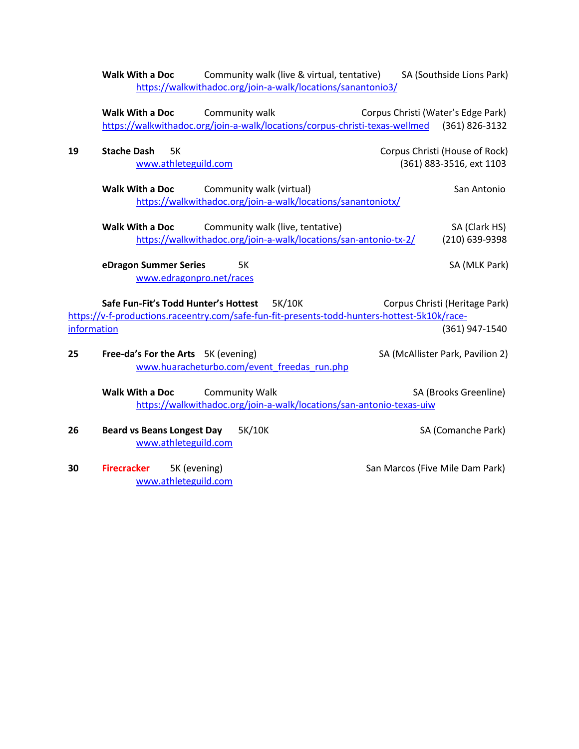Walk With a Doc Community walk (live & virtual, tentative) SA (Southside Lions Park) https://walkwithadoc.org/join-a-walk/locations/sanantonio3/

Walk With a Doc Community walk Corpus Christi (Water's Edge Park) https://walkwithadoc.org/join-a-walk/locations/corpus-christi-texas-wellmed (361) 826-3132

| 19          | <b>Stache Dash</b><br><b>5K</b><br>www.athleteguild.com                                                                                        | Corpus Christi (House of Rock)<br>(361) 883-3516, ext 1103 |  |
|-------------|------------------------------------------------------------------------------------------------------------------------------------------------|------------------------------------------------------------|--|
|             | <b>Walk With a Doc</b><br>Community walk (virtual)<br>https://walkwithadoc.org/join-a-walk/locations/sanantoniotx/                             | San Antonio                                                |  |
|             | <b>Walk With a Doc</b><br>Community walk (live, tentative)<br>https://walkwithadoc.org/join-a-walk/locations/san-antonio-tx-2/                 | SA (Clark HS)<br>(210) 639-9398                            |  |
|             | eDragon Summer Series<br><b>5K</b><br>www.edragonpro.net/races                                                                                 | SA (MLK Park)                                              |  |
|             | Safe Fun-Fit's Todd Hunter's Hottest<br>5K/10K<br>https://v-f-productions.raceentry.com/safe-fun-fit-presents-todd-hunters-hottest-5k10k/race- | Corpus Christi (Heritage Park)                             |  |
| information |                                                                                                                                                | (361) 947-1540                                             |  |
| 25          | Free-da's For the Arts 5K (evening)<br>www.huaracheturbo.com/event freedas run.php                                                             | SA (McAllister Park, Pavilion 2)                           |  |
|             | Walk With a Doc<br><b>Community Walk</b><br>https://walkwithadoc.org/join-a-walk/locations/san-antonio-texas-uiw                               | SA (Brooks Greenline)                                      |  |
| 26          | <b>Beard vs Beans Longest Day</b><br>5K/10K<br>www.athleteguild.com                                                                            | SA (Comanche Park)                                         |  |
| 30          | <b>Firecracker</b><br>5K (evening)<br>www.athleteguild.com                                                                                     | San Marcos (Five Mile Dam Park)                            |  |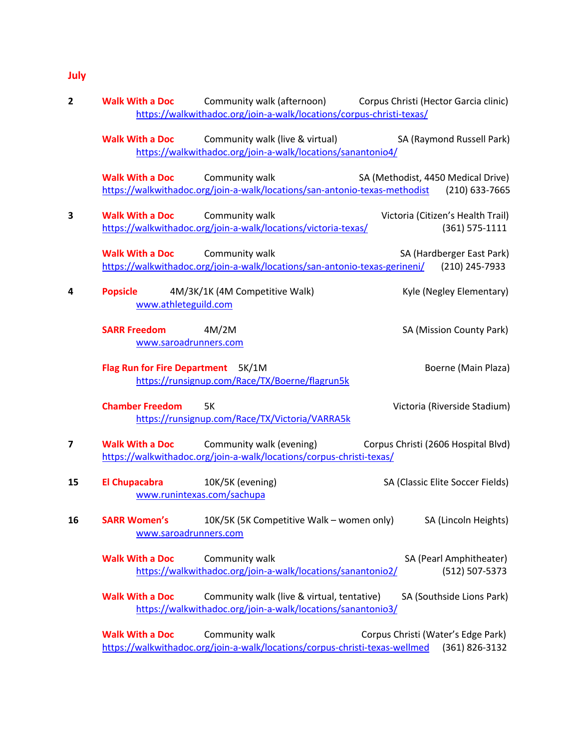# **July**

| 2  | <b>Walk With a Doc</b>                       | https://walkwithadoc.org/join-a-walk/locations/corpus-christi-texas/                                                    | Community walk (afternoon) Corpus Christi (Hector Garcia clinic)                                                                 |
|----|----------------------------------------------|-------------------------------------------------------------------------------------------------------------------------|----------------------------------------------------------------------------------------------------------------------------------|
|    | <b>Walk With a Doc</b>                       | Community walk (live & virtual)<br>https://walkwithadoc.org/join-a-walk/locations/sanantonio4/                          | SA (Raymond Russell Park)                                                                                                        |
|    | <b>Walk With a Doc</b>                       | Community walk                                                                                                          | SA (Methodist, 4450 Medical Drive)<br>https://walkwithadoc.org/join-a-walk/locations/san-antonio-texas-methodist (210) 633-7665  |
| 3  | <b>Walk With a Doc</b>                       | Community walk<br>https://walkwithadoc.org/join-a-walk/locations/victoria-texas/                                        | Victoria (Citizen's Health Trail)<br>$(361) 575 - 1111$                                                                          |
|    | <b>Walk With a Doc</b>                       | Community walk                                                                                                          | SA (Hardberger East Park)<br>https://walkwithadoc.org/join-a-walk/locations/san-antonio-texas-gerineni/ (210) 245-7933           |
| 4  | <b>Popsicle</b><br>www.athleteguild.com      | 4M/3K/1K (4M Competitive Walk)                                                                                          | Kyle (Negley Elementary)                                                                                                         |
|    | <b>SARR Freedom</b><br>www.saroadrunners.com | 4M/2M                                                                                                                   | SA (Mission County Park)                                                                                                         |
|    | Flag Run for Fire Department 5K/1M           | https://runsignup.com/Race/TX/Boerne/flagrun5k                                                                          | Boerne (Main Plaza)                                                                                                              |
|    | <b>Chamber Freedom</b>                       | 5K<br>https://runsignup.com/Race/TX/Victoria/VARRA5k                                                                    | Victoria (Riverside Stadium)                                                                                                     |
| 7  |                                              | <b>Walk With a Doc</b> Community walk (evening)<br>https://walkwithadoc.org/join-a-walk/locations/corpus-christi-texas/ | Corpus Christi (2606 Hospital Blvd)                                                                                              |
| 15 | El Chupacabra 10K/5K (evening)               | www.runintexas.com/sachupa                                                                                              | SA (Classic Elite Soccer Fields)                                                                                                 |
| 16 | <b>SARR Women's</b><br>www.saroadrunners.com | 10K/5K (5K Competitive Walk – women only)                                                                               | SA (Lincoln Heights)                                                                                                             |
|    | <b>Walk With a Doc</b>                       | Community walk<br>https://walkwithadoc.org/join-a-walk/locations/sanantonio2/                                           | SA (Pearl Amphitheater)<br>(512) 507-5373                                                                                        |
|    | <b>Walk With a Doc</b>                       | Community walk (live & virtual, tentative)<br>https://walkwithadoc.org/join-a-walk/locations/sanantonio3/               | SA (Southside Lions Park)                                                                                                        |
|    | <b>Walk With a Doc</b>                       | Community walk                                                                                                          | Corpus Christi (Water's Edge Park)<br>https://walkwithadoc.org/join-a-walk/locations/corpus-christi-texas-wellmed (361) 826-3132 |